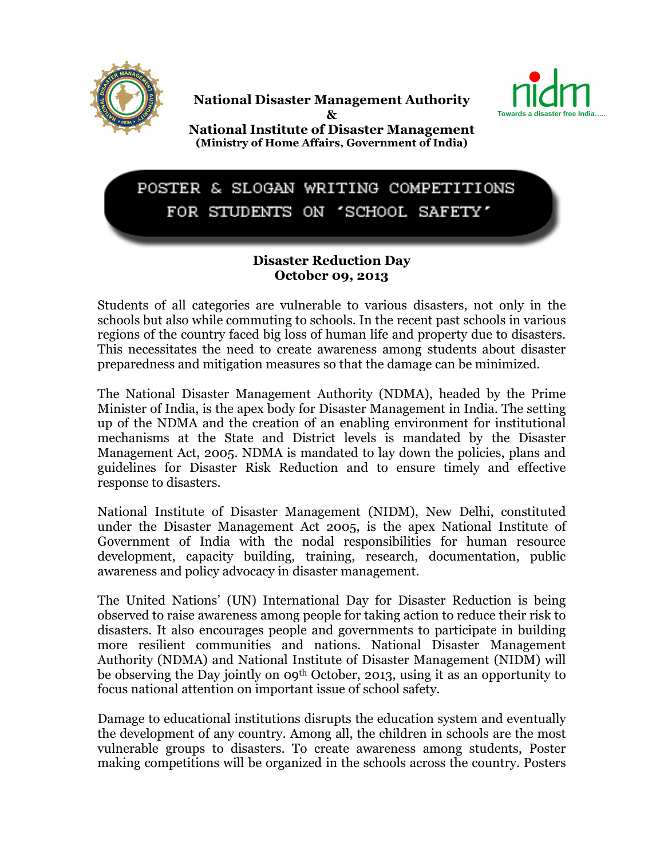

National Disaster Management Authority



& National Institute of Disaster Management (Ministry of Home Affairs, Government of India)

## POSTER & SLOGAN WRITING COMPETITIONS FOR STUDENTS ON 'SCHOOL SAFETY'

## Disaster Reduction Day October 09, 2013

Students of all categories are vulnerable to various disasters, not only in the schools but also while commuting to schools. In the recent past schools in various regions of the country faced big loss of human life and property due to disasters. This necessitates the need to create awareness among students about disaster preparedness and mitigation measures so that the damage can be minimized.

The National Disaster Management Authority (NDMA), headed by the Prime Minister of India, is the apex body for Disaster Management in India. The setting up of the NDMA and the creation of an enabling environment for institutional mechanisms at the State and District levels is mandated by the Disaster Management Act, 2005. NDMA is mandated to lay down the policies, plans and guidelines for Disaster Risk Reduction and to ensure timely and effective response to disasters.

National Institute of Disaster Management (NIDM), New Delhi, constituted under the Disaster Management Act 2005, is the apex National Institute of Government of India with the nodal responsibilities for human resource development, capacity building, training, research, documentation, public awareness and policy advocacy in disaster management.

The United Nations' (UN) International Day for Disaster Reduction is being observed to raise awareness among people for taking action to reduce their risk to disasters. It also encourages people and governments to participate in building more resilient communities and nations. National Disaster Management Authority (NDMA) and National Institute of Disaster Management (NIDM) will be observing the Day jointly on 09th October, 2013, using it as an opportunity to focus national attention on important issue of school safety.

Damage to educational institutions disrupts the education system and eventually the development of any country. Among all, the children in schools are the most vulnerable groups to disasters. To create awareness among students, Poster making competitions will be organized in the schools across the country. Posters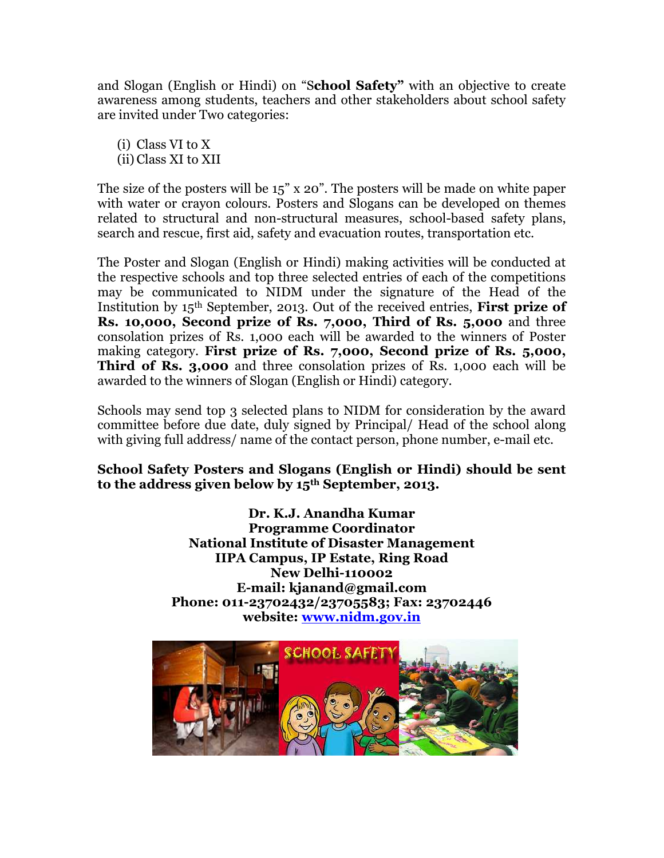and Slogan (English or Hindi) on "School Safety" with an objective to create awareness among students, teachers and other stakeholders about school safety are invited under Two categories:

(i) Class VI to X (ii) Class XI to XII

The size of the posters will be 15" x 20". The posters will be made on white paper with water or crayon colours. Posters and Slogans can be developed on themes related to structural and non-structural measures, school-based safety plans, search and rescue, first aid, safety and evacuation routes, transportation etc.

The Poster and Slogan (English or Hindi) making activities will be conducted at the respective schools and top three selected entries of each of the competitions may be communicated to NIDM under the signature of the Head of the Institution by 15<sup>th</sup> September, 2013. Out of the received entries, **First prize of** Rs. 10,000, Second prize of Rs. 7,000, Third of Rs. 5,000 and three consolation prizes of Rs. 1,000 each will be awarded to the winners of Poster making category. First prize of Rs. 7,000, Second prize of Rs. 5,000, Third of Rs. 3,000 and three consolation prizes of Rs. 1,000 each will be awarded to the winners of Slogan (English or Hindi) category.

Schools may send top 3 selected plans to NIDM for consideration by the award committee before due date, duly signed by Principal/ Head of the school along with giving full address/ name of the contact person, phone number, e-mail etc.

School Safety Posters and Slogans (English or Hindi) should be sent to the address given below by  $15<sup>th</sup>$  September, 2013.

> Dr. K.J. Anandha Kumar Programme Coordinator National Institute of Disaster Management IIPA Campus, IP Estate, Ring Road New Delhi-110002 E-mail: kjanand@gmail.com Phone: 011-23702432/23705583; Fax: 23702446 website: www.nidm.gov.in